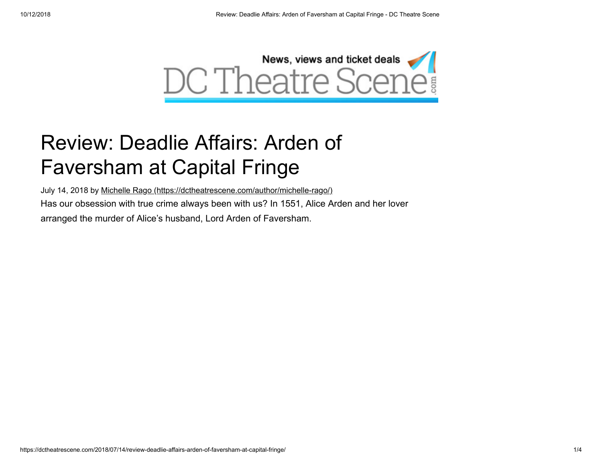

## Review: Deadlie Affairs: Arden of Faversham at Capital Fringe

July 14, 2018 by [Michelle Rago \(https://dctheatrescene.com/author/michelle-rago/\)](https://dctheatrescene.com/author/michelle-rago/) Has our obsession with true crime always been with us? In 1551, Alice Arden and her lover arranged the murder of Alice's husband, Lord Arden of Faversham.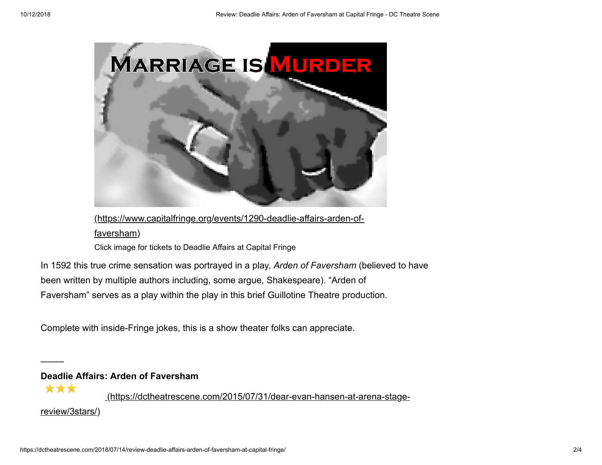

[\(https://www.capitalfringe.org/events/1290-deadlie-affairs-arden-of](https://www.capitalfringe.org/events/1290-deadlie-affairs-arden-of-faversham)faversham) Click image for tickets to Deadlie Affairs at Capital Fringe

In 1592 this true crime sensation was portrayed in a play, *Arden of Faversham* (believed to have been written by multiple authors including, some argue, Shakespeare). "Arden of Faversham" serves as a play within the play in this brief Guillotine Theatre production.

Complete with inside-Fringe jokes, this is a show theater folks can appreciate.

**Deadlie Affairs: Arden of Faversham**

——–

\*\*\*  [\(https://dctheatrescene.com/2015/07/31/dear-evan-hansen-at-arena-stage](https://dctheatrescene.com/2015/07/31/dear-evan-hansen-at-arena-stage-review/3stars/)review/3stars/)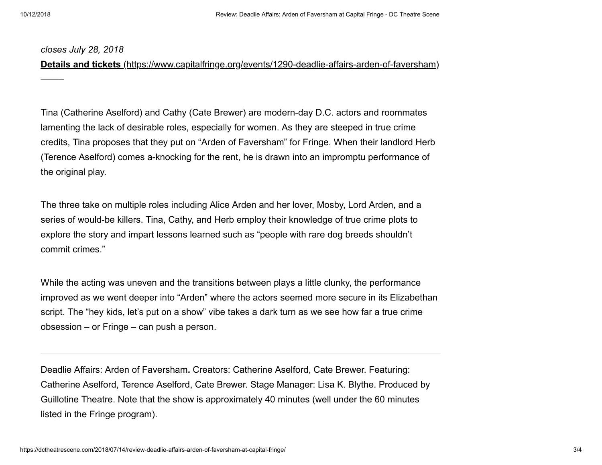——–

## *closes July 28, 2018*

**Details and tickets** [\(https://www.capitalfringe.org/events/1290-deadlie-affairs-arden-of-faversham\)](https://www.capitalfringe.org/events/1290-deadlie-affairs-arden-of-faversham)

Tina (Catherine Aselford) and Cathy (Cate Brewer) are modern-day D.C. actors and roommates lamenting the lack of desirable roles, especially for women. As they are steeped in true crime credits, Tina proposes that they put on "Arden of Faversham" for Fringe. When their landlord Herb (Terence Aselford) comes a-knocking for the rent, he is drawn into an impromptu performance of the original play.

The three take on multiple roles including Alice Arden and her lover, Mosby, Lord Arden, and a series of would-be killers. Tina, Cathy, and Herb employ their knowledge of true crime plots to explore the story and impart lessons learned such as "people with rare dog breeds shouldn't commit crimes."

While the acting was uneven and the transitions between plays a little clunky, the performance improved as we went deeper into "Arden" where the actors seemed more secure in its Elizabethan script. The "hey kids, let's put on a show" vibe takes a dark turn as we see how far a true crime obsession – or Fringe – can push a person.

Deadlie Affairs: Arden of Faversham**.** Creators: Catherine Aselford, Cate Brewer. Featuring: Catherine Aselford, Terence Aselford, Cate Brewer. Stage Manager: Lisa K. Blythe. Produced by Guillotine Theatre. Note that the show is approximately 40 minutes (well under the 60 minutes listed in the Fringe program).